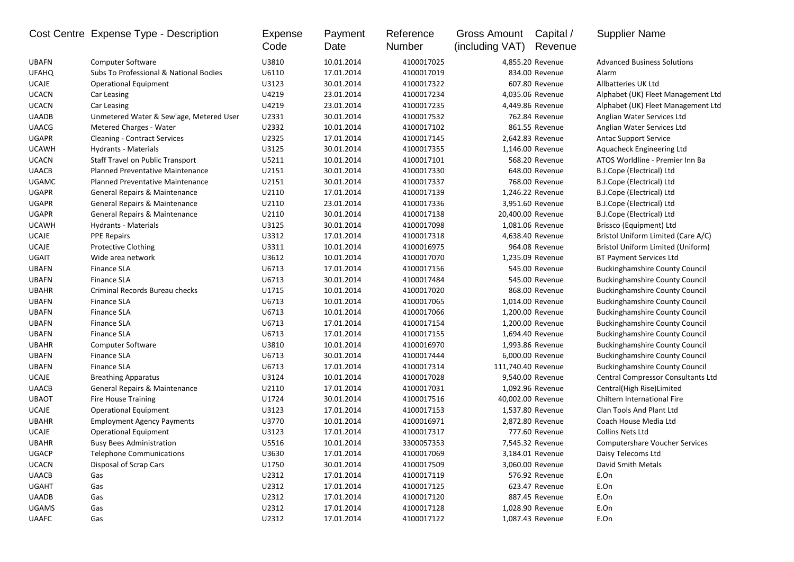|              | Cost Centre Expense Type - Description  | Expense<br>Code | Payment<br>Date | Reference<br>Number | Gross Amount<br>(including VAT) | Capital /<br>Revenue | <b>Supplier Name</b>                  |
|--------------|-----------------------------------------|-----------------|-----------------|---------------------|---------------------------------|----------------------|---------------------------------------|
| <b>UBAFN</b> | Computer Software                       | U3810           | 10.01.2014      | 4100017025          |                                 | 4,855.20 Revenue     | <b>Advanced Business Solutions</b>    |
| <b>UFAHQ</b> | Subs To Professional & National Bodies  | U6110           | 17.01.2014      | 4100017019          |                                 | 834.00 Revenue       | Alarm                                 |
| <b>UCAJE</b> | <b>Operational Equipment</b>            | U3123           | 30.01.2014      | 4100017322          |                                 | 607.80 Revenue       | Allbatteries UK Ltd                   |
| <b>UCACN</b> | Car Leasing                             | U4219           | 23.01.2014      | 4100017234          |                                 | 4,035.06 Revenue     | Alphabet (UK) Fleet Management Ltd    |
| <b>UCACN</b> | Car Leasing                             | U4219           | 23.01.2014      | 4100017235          |                                 | 4,449.86 Revenue     | Alphabet (UK) Fleet Management Ltd    |
| <b>UAADB</b> | Unmetered Water & Sew'age, Metered User | U2331           | 30.01.2014      | 4100017532          |                                 | 762.84 Revenue       | Anglian Water Services Ltd            |
| <b>UAACG</b> | Metered Charges - Water                 | U2332           | 10.01.2014      | 4100017102          |                                 | 861.55 Revenue       | Anglian Water Services Ltd            |
| <b>UGAPR</b> | <b>Cleaning - Contract Services</b>     | U2325           | 17.01.2014      | 4100017145          |                                 | 2,642.83 Revenue     | <b>Antac Support Service</b>          |
| <b>UCAWH</b> | Hydrants - Materials                    | U3125           | 30.01.2014      | 4100017355          |                                 | 1,146.00 Revenue     | Aquacheck Engineering Ltd             |
| <b>UCACN</b> | Staff Travel on Public Transport        | U5211           | 10.01.2014      | 4100017101          |                                 | 568.20 Revenue       | ATOS Worldline - Premier Inn Ba       |
| <b>UAACB</b> | <b>Planned Preventative Maintenance</b> | U2151           | 30.01.2014      | 4100017330          |                                 | 648.00 Revenue       | B.J.Cope (Electrical) Ltd             |
| <b>UGAMC</b> | <b>Planned Preventative Maintenance</b> | U2151           | 30.01.2014      | 4100017337          |                                 | 768.00 Revenue       | B.J.Cope (Electrical) Ltd             |
| <b>UGAPR</b> | General Repairs & Maintenance           | U2110           | 17.01.2014      | 4100017139          |                                 | 1,246.22 Revenue     | B.J.Cope (Electrical) Ltd             |
| <b>UGAPR</b> | General Repairs & Maintenance           | U2110           | 23.01.2014      | 4100017336          |                                 | 3,951.60 Revenue     | B.J.Cope (Electrical) Ltd             |
| <b>UGAPR</b> | General Repairs & Maintenance           | U2110           | 30.01.2014      | 4100017138          |                                 | 20,400.00 Revenue    | B.J.Cope (Electrical) Ltd             |
| <b>UCAWH</b> | Hydrants - Materials                    | U3125           | 30.01.2014      | 4100017098          |                                 | 1,081.06 Revenue     | Brissco (Equipment) Ltd               |
| <b>UCAJE</b> | <b>PPE Repairs</b>                      | U3312           | 17.01.2014      | 4100017318          |                                 | 4,638.40 Revenue     | Bristol Uniform Limited (Care A/C)    |
| <b>UCAJE</b> | <b>Protective Clothing</b>              | U3311           | 10.01.2014      | 4100016975          |                                 | 964.08 Revenue       | Bristol Uniform Limited (Uniform)     |
| UGAIT        | Wide area network                       | U3612           | 10.01.2014      | 4100017070          |                                 | 1,235.09 Revenue     | <b>BT Payment Services Ltd</b>        |
| <b>UBAFN</b> | <b>Finance SLA</b>                      | U6713           | 17.01.2014      | 4100017156          |                                 | 545.00 Revenue       | <b>Buckinghamshire County Council</b> |
| <b>UBAFN</b> | <b>Finance SLA</b>                      | U6713           | 30.01.2014      | 4100017484          |                                 | 545.00 Revenue       | <b>Buckinghamshire County Council</b> |
| <b>UBAHR</b> | Criminal Records Bureau checks          | U1715           | 10.01.2014      | 4100017020          |                                 | 868.00 Revenue       | <b>Buckinghamshire County Council</b> |
| <b>UBAFN</b> | <b>Finance SLA</b>                      | U6713           | 10.01.2014      | 4100017065          |                                 | 1,014.00 Revenue     | <b>Buckinghamshire County Council</b> |
| <b>UBAFN</b> | <b>Finance SLA</b>                      | U6713           | 10.01.2014      | 4100017066          |                                 | 1,200.00 Revenue     | <b>Buckinghamshire County Council</b> |
| <b>UBAFN</b> | <b>Finance SLA</b>                      | U6713           | 17.01.2014      | 4100017154          |                                 | 1,200.00 Revenue     | <b>Buckinghamshire County Council</b> |
| <b>UBAFN</b> | <b>Finance SLA</b>                      | U6713           | 17.01.2014      | 4100017155          |                                 | 1,694.40 Revenue     | <b>Buckinghamshire County Council</b> |
| <b>UBAHR</b> | <b>Computer Software</b>                | U3810           | 10.01.2014      | 4100016970          |                                 | 1,993.86 Revenue     | <b>Buckinghamshire County Council</b> |
| <b>UBAFN</b> | <b>Finance SLA</b>                      | U6713           | 30.01.2014      | 4100017444          |                                 | 6,000.00 Revenue     | <b>Buckinghamshire County Council</b> |
| <b>UBAFN</b> | <b>Finance SLA</b>                      | U6713           | 17.01.2014      | 4100017314          | 111,740.40 Revenue              |                      | <b>Buckinghamshire County Council</b> |
| <b>UCAJE</b> | <b>Breathing Apparatus</b>              | U3124           | 10.01.2014      | 4100017028          |                                 | 9,540.00 Revenue     | Central Compressor Consultants Ltd    |
| <b>UAACB</b> | General Repairs & Maintenance           | U2110           | 17.01.2014      | 4100017031          |                                 | 1,092.96 Revenue     | Central(High Rise)Limited             |
| <b>UBAOT</b> | <b>Fire House Training</b>              | U1724           | 30.01.2014      | 4100017516          |                                 | 40,002.00 Revenue    | <b>Chiltern International Fire</b>    |
| <b>UCAJE</b> | <b>Operational Equipment</b>            | U3123           | 17.01.2014      | 4100017153          |                                 | 1,537.80 Revenue     | Clan Tools And Plant Ltd              |
| <b>UBAHR</b> | <b>Employment Agency Payments</b>       | U3770           | 10.01.2014      | 4100016971          |                                 | 2,872.80 Revenue     | Coach House Media Ltd                 |
| <b>UCAJE</b> | <b>Operational Equipment</b>            | U3123           | 17.01.2014      | 4100017317          |                                 | 777.60 Revenue       | Collins Nets Ltd                      |
| <b>UBAHR</b> | <b>Busy Bees Administration</b>         | U5516           | 10.01.2014      | 3300057353          |                                 | 7,545.32 Revenue     | <b>Computershare Voucher Services</b> |
| UGACP        | <b>Telephone Communications</b>         | U3630           | 17.01.2014      | 4100017069          |                                 | 3,184.01 Revenue     | Daisy Telecoms Ltd                    |
| <b>UCACN</b> | Disposal of Scrap Cars                  | U1750           | 30.01.2014      | 4100017509          |                                 | 3,060.00 Revenue     | David Smith Metals                    |
| <b>UAACB</b> | Gas                                     | U2312           | 17.01.2014      | 4100017119          |                                 | 576.92 Revenue       | E.On                                  |
| <b>UGAHT</b> | Gas                                     | U2312           | 17.01.2014      | 4100017125          |                                 | 623.47 Revenue       | E.On                                  |
| <b>UAADB</b> | Gas                                     | U2312           | 17.01.2014      | 4100017120          |                                 | 887.45 Revenue       | E.On                                  |
| <b>UGAMS</b> | Gas                                     | U2312           | 17.01.2014      | 4100017128          |                                 | 1,028.90 Revenue     | E.On                                  |
| <b>UAAFC</b> | Gas                                     | U2312           | 17.01.2014      | 4100017122          |                                 | 1,087.43 Revenue     | E.On                                  |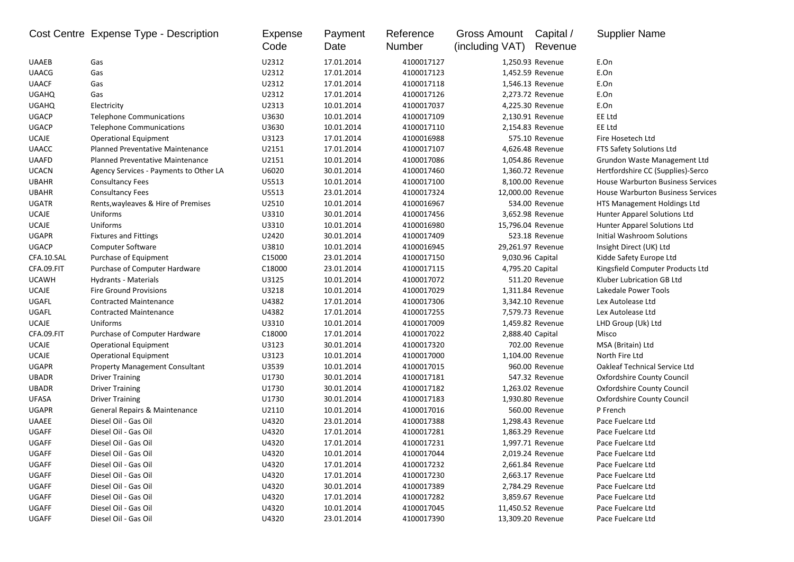|              | Cost Centre Expense Type - Description | Expense<br>Code | Payment<br>Date | Reference<br>Number | <b>Gross Amount</b><br>(including VAT) | Capital /<br>Revenue | <b>Supplier Name</b>                     |
|--------------|----------------------------------------|-----------------|-----------------|---------------------|----------------------------------------|----------------------|------------------------------------------|
| <b>UAAEB</b> | Gas                                    | U2312           | 17.01.2014      | 4100017127          |                                        | 1,250.93 Revenue     | E.On                                     |
| <b>UAACG</b> | Gas                                    | U2312           | 17.01.2014      | 4100017123          |                                        | 1,452.59 Revenue     | E.On                                     |
| <b>UAACF</b> | Gas                                    | U2312           | 17.01.2014      | 4100017118          |                                        | 1,546.13 Revenue     | E.On                                     |
| <b>UGAHQ</b> | Gas                                    | U2312           | 17.01.2014      | 4100017126          |                                        | 2,273.72 Revenue     | E.On                                     |
| <b>UGAHQ</b> | Electricity                            | U2313           | 10.01.2014      | 4100017037          |                                        | 4,225.30 Revenue     | E.On                                     |
| <b>UGACP</b> | <b>Telephone Communications</b>        | U3630           | 10.01.2014      | 4100017109          |                                        | 2,130.91 Revenue     | EE Ltd                                   |
| <b>UGACP</b> | <b>Telephone Communications</b>        | U3630           | 10.01.2014      | 4100017110          |                                        | 2,154.83 Revenue     | EE Ltd                                   |
| <b>UCAJE</b> | <b>Operational Equipment</b>           | U3123           | 17.01.2014      | 4100016988          |                                        | 575.10 Revenue       | Fire Hosetech Ltd                        |
| <b>UAACC</b> | Planned Preventative Maintenance       | U2151           | 17.01.2014      | 4100017107          |                                        | 4,626.48 Revenue     | FTS Safety Solutions Ltd                 |
| <b>UAAFD</b> | Planned Preventative Maintenance       | U2151           | 10.01.2014      | 4100017086          |                                        | 1,054.86 Revenue     | Grundon Waste Management Ltd             |
| <b>UCACN</b> | Agency Services - Payments to Other LA | U6020           | 30.01.2014      | 4100017460          |                                        | 1,360.72 Revenue     | Hertfordshire CC (Supplies)-Serco        |
| <b>UBAHR</b> | <b>Consultancy Fees</b>                | U5513           | 10.01.2014      | 4100017100          |                                        | 8,100.00 Revenue     | <b>House Warburton Business Services</b> |
| <b>UBAHR</b> | <b>Consultancy Fees</b>                | U5513           | 23.01.2014      | 4100017324          |                                        | 12,000.00 Revenue    | <b>House Warburton Business Services</b> |
| <b>UGATR</b> | Rents, wayleaves & Hire of Premises    | U2510           | 10.01.2014      | 4100016967          |                                        | 534.00 Revenue       | HTS Management Holdings Ltd              |
| <b>UCAJE</b> | Uniforms                               | U3310           | 30.01.2014      | 4100017456          |                                        | 3,652.98 Revenue     | Hunter Apparel Solutions Ltd             |
| <b>UCAJE</b> | Uniforms                               | U3310           | 10.01.2014      | 4100016980          |                                        | 15,796.04 Revenue    | Hunter Apparel Solutions Ltd             |
| <b>UGAPR</b> | <b>Fixtures and Fittings</b>           | U2420           | 30.01.2014      | 4100017409          |                                        | 523.18 Revenue       | Initial Washroom Solutions               |
| <b>UGACP</b> | <b>Computer Software</b>               | U3810           | 10.01.2014      | 4100016945          |                                        | 29,261.97 Revenue    | Insight Direct (UK) Ltd                  |
| CFA.10.SAL   | Purchase of Equipment                  | C15000          | 23.01.2014      | 4100017150          |                                        | 9,030.96 Capital     | Kidde Safety Europe Ltd                  |
| CFA.09.FIT   | Purchase of Computer Hardware          | C18000          | 23.01.2014      | 4100017115          |                                        | 4,795.20 Capital     | Kingsfield Computer Products Ltd         |
| <b>UCAWH</b> | Hydrants - Materials                   | U3125           | 10.01.2014      | 4100017072          |                                        | 511.20 Revenue       | Kluber Lubrication GB Ltd                |
| <b>UCAJE</b> | <b>Fire Ground Provisions</b>          | U3218           | 10.01.2014      | 4100017029          |                                        | 1,311.84 Revenue     | Lakedale Power Tools                     |
| UGAFL        | <b>Contracted Maintenance</b>          | U4382           | 17.01.2014      | 4100017306          |                                        | 3,342.10 Revenue     | Lex Autolease Ltd                        |
| UGAFL        | <b>Contracted Maintenance</b>          | U4382           | 17.01.2014      | 4100017255          |                                        | 7,579.73 Revenue     | Lex Autolease Ltd                        |
| <b>UCAJE</b> | Uniforms                               | U3310           | 10.01.2014      | 4100017009          |                                        | 1,459.82 Revenue     | LHD Group (Uk) Ltd                       |
| CFA.09.FIT   | Purchase of Computer Hardware          | C18000          | 17.01.2014      | 4100017022          |                                        | 2,888.40 Capital     | Misco                                    |
| <b>UCAJE</b> | <b>Operational Equipment</b>           | U3123           | 30.01.2014      | 4100017320          |                                        | 702.00 Revenue       | MSA (Britain) Ltd                        |
| <b>UCAJE</b> | <b>Operational Equipment</b>           | U3123           | 10.01.2014      | 4100017000          |                                        | 1,104.00 Revenue     | North Fire Ltd                           |
| <b>UGAPR</b> | <b>Property Management Consultant</b>  | U3539           | 10.01.2014      | 4100017015          |                                        | 960.00 Revenue       | <b>Oakleaf Technical Service Ltd</b>     |
| <b>UBADR</b> | <b>Driver Training</b>                 | U1730           | 30.01.2014      | 4100017181          |                                        | 547.32 Revenue       | Oxfordshire County Council               |
| <b>UBADR</b> | <b>Driver Training</b>                 | U1730           | 30.01.2014      | 4100017182          |                                        | 1,263.02 Revenue     | <b>Oxfordshire County Council</b>        |
| <b>UFASA</b> | <b>Driver Training</b>                 | U1730           | 30.01.2014      | 4100017183          |                                        | 1,930.80 Revenue     | <b>Oxfordshire County Council</b>        |
| <b>UGAPR</b> | General Repairs & Maintenance          | U2110           | 10.01.2014      | 4100017016          |                                        | 560.00 Revenue       | P French                                 |
| <b>UAAEE</b> | Diesel Oil - Gas Oil                   | U4320           | 23.01.2014      | 4100017388          |                                        | 1,298.43 Revenue     | Pace Fuelcare Ltd                        |
| <b>UGAFF</b> | Diesel Oil - Gas Oil                   | U4320           | 17.01.2014      | 4100017281          |                                        | 1,863.29 Revenue     | Pace Fuelcare Ltd                        |
| UGAFF        | Diesel Oil - Gas Oil                   | U4320           | 17.01.2014      | 4100017231          |                                        | 1,997.71 Revenue     | Pace Fuelcare Ltd                        |
| UGAFF        | Diesel Oil - Gas Oil                   | U4320           | 10.01.2014      | 4100017044          |                                        | 2,019.24 Revenue     | Pace Fuelcare Ltd                        |
| UGAFF        | Diesel Oil - Gas Oil                   | U4320           | 17.01.2014      | 4100017232          |                                        | 2,661.84 Revenue     | Pace Fuelcare Ltd                        |
| UGAFF        | Diesel Oil - Gas Oil                   | U4320           | 17.01.2014      | 4100017230          |                                        | 2,663.17 Revenue     | Pace Fuelcare Ltd                        |
| UGAFF        | Diesel Oil - Gas Oil                   | U4320           | 30.01.2014      | 4100017389          |                                        | 2,784.29 Revenue     | Pace Fuelcare Ltd                        |
| UGAFF        | Diesel Oil - Gas Oil                   | U4320           | 17.01.2014      | 4100017282          |                                        | 3,859.67 Revenue     | Pace Fuelcare Ltd                        |
| UGAFF        | Diesel Oil - Gas Oil                   | U4320           | 10.01.2014      | 4100017045          |                                        | 11,450.52 Revenue    | Pace Fuelcare Ltd                        |
| UGAFF        | Diesel Oil - Gas Oil                   | U4320           | 23.01.2014      | 4100017390          |                                        | 13,309.20 Revenue    | Pace Fuelcare Ltd                        |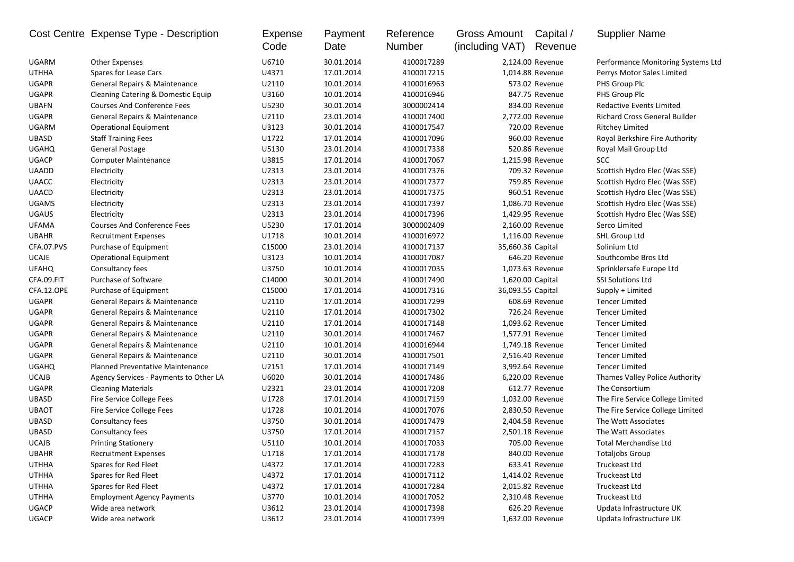|              | Cost Centre Expense Type - Description  | Expense<br>Code | Payment<br>Date | Reference<br>Number | <b>Gross Amount</b><br>(including VAT) | Capital /<br>Revenue | <b>Supplier Name</b>                 |
|--------------|-----------------------------------------|-----------------|-----------------|---------------------|----------------------------------------|----------------------|--------------------------------------|
| UGARM        | <b>Other Expenses</b>                   | U6710           | 30.01.2014      | 4100017289          |                                        | 2,124.00 Revenue     | Performance Monitoring Systems Ltd   |
| <b>UTHHA</b> | Spares for Lease Cars                   | U4371           | 17.01.2014      | 4100017215          |                                        | 1,014.88 Revenue     | Perrys Motor Sales Limited           |
| <b>UGAPR</b> | General Repairs & Maintenance           | U2110           | 10.01.2014      | 4100016963          |                                        | 573.02 Revenue       | PHS Group Plc                        |
| <b>UGAPR</b> | Cleaning Catering & Domestic Equip      | U3160           | 10.01.2014      | 4100016946          |                                        | 847.75 Revenue       | PHS Group Plc                        |
| <b>UBAFN</b> | <b>Courses And Conference Fees</b>      | U5230           | 30.01.2014      | 3000002414          |                                        | 834.00 Revenue       | Redactive Events Limited             |
| UGAPR        | General Repairs & Maintenance           | U2110           | 23.01.2014      | 4100017400          |                                        | 2,772.00 Revenue     | <b>Richard Cross General Builder</b> |
| <b>UGARM</b> | <b>Operational Equipment</b>            | U3123           | 30.01.2014      | 4100017547          |                                        | 720.00 Revenue       | <b>Ritchey Limited</b>               |
| <b>UBASD</b> | <b>Staff Training Fees</b>              | U1722           | 17.01.2014      | 4100017096          |                                        | 960.00 Revenue       | Royal Berkshire Fire Authority       |
| <b>UGAHQ</b> | General Postage                         | U5130           | 23.01.2014      | 4100017338          |                                        | 520.86 Revenue       | Royal Mail Group Ltd                 |
| <b>UGACP</b> | <b>Computer Maintenance</b>             | U3815           | 17.01.2014      | 4100017067          |                                        | 1,215.98 Revenue     | <b>SCC</b>                           |
| <b>UAADD</b> | Electricity                             | U2313           | 23.01.2014      | 4100017376          |                                        | 709.32 Revenue       | Scottish Hydro Elec (Was SSE)        |
| <b>UAACC</b> | Electricity                             | U2313           | 23.01.2014      | 4100017377          |                                        | 759.85 Revenue       | Scottish Hydro Elec (Was SSE)        |
| <b>UAACD</b> | Electricity                             | U2313           | 23.01.2014      | 4100017375          |                                        | 960.51 Revenue       | Scottish Hydro Elec (Was SSE)        |
| <b>UGAMS</b> | Electricity                             | U2313           | 23.01.2014      | 4100017397          |                                        | 1,086.70 Revenue     | Scottish Hydro Elec (Was SSE)        |
| <b>UGAUS</b> | Electricity                             | U2313           | 23.01.2014      | 4100017396          |                                        | 1,429.95 Revenue     | Scottish Hydro Elec (Was SSE)        |
| <b>UFAMA</b> | <b>Courses And Conference Fees</b>      | U5230           | 17.01.2014      | 3000002409          |                                        | 2,160.00 Revenue     | Serco Limited                        |
| <b>UBAHR</b> | <b>Recruitment Expenses</b>             | U1718           | 10.01.2014      | 4100016972          |                                        | 1,116.00 Revenue     | SHL Group Ltd                        |
| CFA.07.PVS   | Purchase of Equipment                   | C15000          | 23.01.2014      | 4100017137          | 35,660.36 Capital                      |                      | Solinium Ltd                         |
| <b>UCAJE</b> | <b>Operational Equipment</b>            | U3123           | 10.01.2014      | 4100017087          |                                        | 646.20 Revenue       | Southcombe Bros Ltd                  |
| <b>UFAHQ</b> | Consultancy fees                        | U3750           | 10.01.2014      | 4100017035          |                                        | 1,073.63 Revenue     | Sprinklersafe Europe Ltd             |
| CFA.09.FIT   | Purchase of Software                    | C14000          | 30.01.2014      | 4100017490          | 1,620.00 Capital                       |                      | <b>SSI Solutions Ltd</b>             |
| CFA.12.OPE   | Purchase of Equipment                   | C15000          | 17.01.2014      | 4100017316          | 36,093.55 Capital                      |                      | Supply + Limited                     |
| <b>UGAPR</b> | General Repairs & Maintenance           | U2110           | 17.01.2014      | 4100017299          |                                        | 608.69 Revenue       | <b>Tencer Limited</b>                |
| <b>UGAPR</b> | General Repairs & Maintenance           | U2110           | 17.01.2014      | 4100017302          |                                        | 726.24 Revenue       | <b>Tencer Limited</b>                |
| <b>UGAPR</b> | General Repairs & Maintenance           | U2110           | 17.01.2014      | 4100017148          |                                        | 1,093.62 Revenue     | <b>Tencer Limited</b>                |
| <b>UGAPR</b> | General Repairs & Maintenance           | U2110           | 30.01.2014      | 4100017467          |                                        | 1,577.91 Revenue     | <b>Tencer Limited</b>                |
| <b>UGAPR</b> | General Repairs & Maintenance           | U2110           | 10.01.2014      | 4100016944          |                                        | 1,749.18 Revenue     | <b>Tencer Limited</b>                |
| <b>UGAPR</b> | General Repairs & Maintenance           | U2110           | 30.01.2014      | 4100017501          |                                        | 2,516.40 Revenue     | <b>Tencer Limited</b>                |
| <b>UGAHQ</b> | <b>Planned Preventative Maintenance</b> | U2151           | 17.01.2014      | 4100017149          |                                        | 3,992.64 Revenue     | <b>Tencer Limited</b>                |
| <b>UCAJB</b> | Agency Services - Payments to Other LA  | U6020           | 30.01.2014      | 4100017486          |                                        | 6,220.00 Revenue     | Thames Valley Police Authority       |
| UGAPR        | <b>Cleaning Materials</b>               | U2321           | 23.01.2014      | 4100017208          |                                        | 612.77 Revenue       | The Consortium                       |
| <b>UBASD</b> | Fire Service College Fees               | U1728           | 17.01.2014      | 4100017159          |                                        | 1,032.00 Revenue     | The Fire Service College Limited     |
| <b>UBAOT</b> | Fire Service College Fees               | U1728           | 10.01.2014      | 4100017076          |                                        | 2,830.50 Revenue     | The Fire Service College Limited     |
| <b>UBASD</b> | Consultancy fees                        | U3750           | 30.01.2014      | 4100017479          |                                        | 2,404.58 Revenue     | The Watt Associates                  |
| <b>UBASD</b> | Consultancy fees                        | U3750           | 17.01.2014      | 4100017157          |                                        | 2,501.18 Revenue     | The Watt Associates                  |
| <b>UCAJB</b> | <b>Printing Stationery</b>              | U5110           | 10.01.2014      | 4100017033          |                                        | 705.00 Revenue       | <b>Total Merchandise Ltd</b>         |
| <b>UBAHR</b> | <b>Recruitment Expenses</b>             | U1718           | 17.01.2014      | 4100017178          |                                        | 840.00 Revenue       | <b>Totaljobs Group</b>               |
| <b>UTHHA</b> | Spares for Red Fleet                    | U4372           | 17.01.2014      | 4100017283          |                                        | 633.41 Revenue       | Truckeast Ltd                        |
| <b>UTHHA</b> | Spares for Red Fleet                    | U4372           | 17.01.2014      | 4100017112          |                                        | 1,414.02 Revenue     | Truckeast Ltd                        |
| <b>UTHHA</b> | Spares for Red Fleet                    | U4372           | 17.01.2014      | 4100017284          |                                        | 2,015.82 Revenue     | Truckeast Ltd                        |
| <b>UTHHA</b> | <b>Employment Agency Payments</b>       | U3770           | 10.01.2014      | 4100017052          |                                        | 2,310.48 Revenue     | Truckeast Ltd                        |
| UGACP        | Wide area network                       | U3612           | 23.01.2014      | 4100017398          |                                        | 626.20 Revenue       | Updata Infrastructure UK             |
| UGACP        | Wide area network                       | U3612           | 23.01.2014      | 4100017399          |                                        | 1,632.00 Revenue     | Updata Infrastructure UK             |